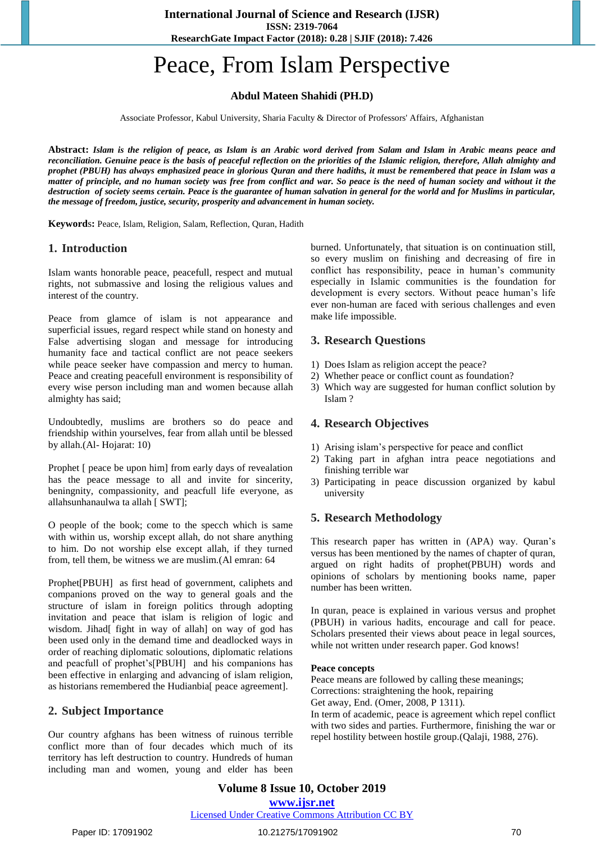**ResearchGate Impact Factor (2018): 0.28 | SJIF (2018): 7.426**

# Peace, From Islam Perspective

# **Abdul Mateen Shahidi (PH.D)**

Associate Professor, Kabul University, Sharia Faculty & Director of Professors' Affairs, Afghanistan

**Abstract:** *Islam is the religion of peace, as Islam is an Arabic word derived from Salam and Islam in Arabic means peace and reconciliation. Genuine peace is the basis of peaceful reflection on the priorities of the Islamic religion, therefore, Allah almighty and prophet (PBUH) has always emphasized peace in glorious Quran and there hadiths, it must be remembered that peace in Islam was a matter of principle, and no human society was free from conflict and war. So peace is the need of human society and without it the destruction of society seems certain. Peace is the guarantee of human salvation in general for the world and for Muslims in particular, the message of freedom, justice, security, prosperity and advancement in human society.*

**Keyword**s**:** Peace, Islam, Religion, Salam, Reflection, Quran, Hadith

#### **1. Introduction**

Islam wants honorable peace, peacefull, respect and mutual rights, not submassive and losing the religious values and interest of the country.

Peace from glamce of islam is not appearance and superficial issues, regard respect while stand on honesty and False advertising slogan and message for introducing humanity face and tactical conflict are not peace seekers while peace seeker have compassion and mercy to human. Peace and creating peacefull environment is responsibility of every wise person including man and women because allah almighty has said;

Undoubtedly, muslims are brothers so do peace and friendship within yourselves, fear from allah until be blessed by allah.(Al- Hojarat: 10)

Prophet [ peace be upon him] from early days of revealation has the peace message to all and invite for sincerity, beningnity, compassionity, and peacfull life everyone, as allahsunhanaulwa ta allah [ SWT];

O people of the book; come to the specch which is same with within us, worship except allah, do not share anything to him. Do not worship else except allah, if they turned from, tell them, be witness we are muslim.(Al emran: 64

Prophet[PBUH] as first head of government, caliphets and companions proved on the way to general goals and the structure of islam in foreign politics through adopting invitation and peace that islam is religion of logic and wisdom. Jihad[ fight in way of allah] on way of god has been used only in the demand time and deadlocked ways in order of reaching diplomatic soloutions, diplomatic relations and peacfull of prophet's[PBUH] and his companions has been effective in enlarging and advancing of islam religion, as historians remembered the Hudianbia[ peace agreement].

# **2. Subject Importance**

Our country afghans has been witness of ruinous terrible conflict more than of four decades which much of its territory has left destruction to country. Hundreds of human including man and women, young and elder has been burned. Unfortunately, that situation is on continuation still, so every muslim on finishing and decreasing of fire in conflict has responsibility, peace in human's community especially in Islamic communities is the foundation for development is every sectors. Without peace human's life ever non-human are faced with serious challenges and even make life impossible.

# **3. Research Questions**

- 1) Does Islam as religion accept the peace?
- 2) Whether peace or conflict count as foundation?
- 3) Which way are suggested for human conflict solution by Islam ?

# **4. Research Objectives**

- 1) Arising islam's perspective for peace and conflict
- 2) Taking part in afghan intra peace negotiations and finishing terrible war
- 3) Participating in peace discussion organized by kabul university

# **5. Research Methodology**

This research paper has written in (APA) way. Quran's versus has been mentioned by the names of chapter of quran, argued on right hadits of prophet(PBUH) words and opinions of scholars by mentioning books name, paper number has been written.

In quran, peace is explained in various versus and prophet (PBUH) in various hadits, encourage and call for peace. Scholars presented their views about peace in legal sources, while not written under research paper. God knows!

#### **Peace concepts**

Peace means are followed by calling these meanings; Corrections: straightening the hook, repairing Get away, End. (Omer, 2008, P 1311). In term of academic, peace is agreement which repel conflict with two sides and parties. Furthermore, finishing the war or

repel hostility between hostile group.(Qalaji, 1988, 276).

**Volume 8 Issue 10, October 2019 www.ijsr.net** Licensed Under Creative Commons Attribution CC BY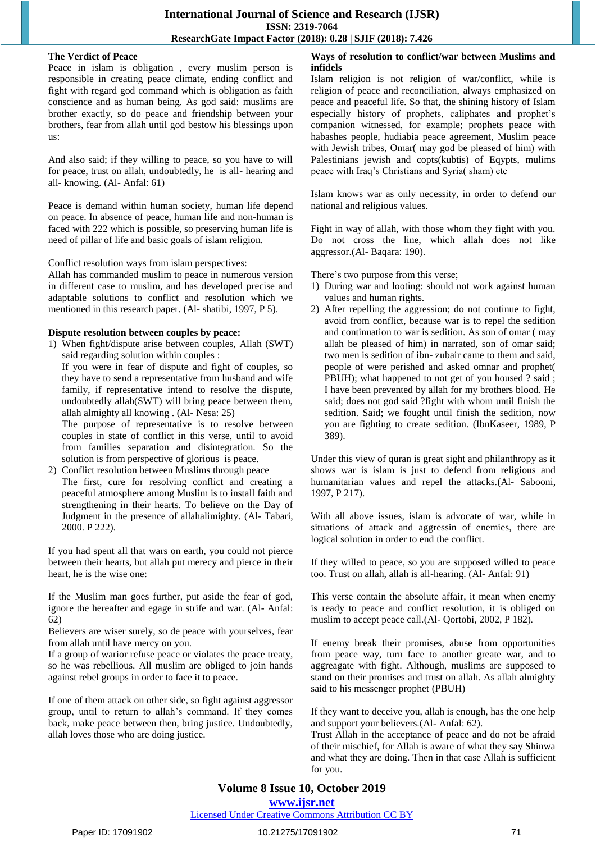#### **The Verdict of Peace**

Peace in islam is obligation , every muslim person is responsible in creating peace climate, ending conflict and fight with regard god command which is obligation as faith conscience and as human being. As god said: muslims are brother exactly, so do peace and friendship between your brothers, fear from allah until god bestow his blessings upon us:

And also said; if they willing to peace, so you have to will for peace, trust on allah, undoubtedly, he is all- hearing and all- knowing. (Al- Anfal: 61)

Peace is demand within human society, human life depend on peace. In absence of peace, human life and non-human is faced with 222 which is possible, so preserving human life is need of pillar of life and basic goals of islam religion.

Conflict resolution ways from islam perspectives:

Allah has commanded muslim to peace in numerous version in different case to muslim, and has developed precise and adaptable solutions to conflict and resolution which we mentioned in this research paper. (Al- shatibi, 1997, P 5).

### **Dispute resolution between couples by peace:**

1) When fight/dispute arise between couples, Allah (SWT) said regarding solution within couples :

If you were in fear of dispute and fight of couples, so they have to send a representative from husband and wife family, if representative intend to resolve the dispute, undoubtedly allah(SWT) will bring peace between them, allah almighty all knowing . (Al- Nesa: 25)

The purpose of representative is to resolve between couples in state of conflict in this verse, until to avoid from families separation and disintegration. So the solution is from perspective of glorious is peace.

2) Conflict resolution between Muslims through peace The first, cure for resolving conflict and creating a peaceful atmosphere among Muslim is to install faith and strengthening in their hearts. To believe on the Day of Judgment in the presence of allahalimighty. (Al- Tabari, 2000. P 222).

If you had spent all that wars on earth, you could not pierce between their hearts, but allah put merecy and pierce in their heart, he is the wise one:

If the Muslim man goes further, put aside the fear of god, ignore the hereafter and egage in strife and war. (Al- Anfal: 62)

Believers are wiser surely, so de peace with yourselves, fear from allah until have mercy on you.

If a group of warior refuse peace or violates the peace treaty, so he was rebellious. All muslim are obliged to join hands against rebel groups in order to face it to peace.

If one of them attack on other side, so fight against aggressor group, until to return to allah's command. If they comes back, make peace between then, bring justice. Undoubtedly, allah loves those who are doing justice.

# **Ways of resolution to conflict/war between Muslims and infidels**

Islam religion is not religion of war/conflict, while is religion of peace and reconciliation, always emphasized on peace and peaceful life. So that, the shining history of Islam especially history of prophets, caliphates and prophet's companion witnessed, for example; prophets peace with habashes people, hudiabia peace agreement, Muslim peace with Jewish tribes, Omar( may god be pleased of him) with Palestinians jewish and copts(kubtis) of Eqypts, mulims peace with Iraq's Christians and Syria( sham) etc

Islam knows war as only necessity, in order to defend our national and religious values.

Fight in way of allah, with those whom they fight with you. Do not cross the line, which allah does not like aggressor.(Al- Baqara: 190).

There's two purpose from this verse;

- 1) During war and looting: should not work against human values and human rights.
- 2) After repelling the aggression; do not continue to fight, avoid from conflict, because war is to repel the sedition and continuation to war is sedition. As son of omar ( may allah be pleased of him) in narrated, son of omar said; two men is sedition of ibn- zubair came to them and said, people of were perished and asked omnar and prophet( PBUH); what happened to not get of you housed ? said ; I have been prevented by allah for my brothers blood. He said; does not god said ?fight with whom until finish the sedition. Said; we fought until finish the sedition, now you are fighting to create sedition. (IbnKaseer, 1989, P 389).

Under this view of quran is great sight and philanthropy as it shows war is islam is just to defend from religious and humanitarian values and repel the attacks.(Al- Sabooni, 1997, P 217).

With all above issues, islam is advocate of war, while in situations of attack and aggressin of enemies, there are logical solution in order to end the conflict.

If they willed to peace, so you are supposed willed to peace too. Trust on allah, allah is all-hearing. (Al- Anfal: 91)

This verse contain the absolute affair, it mean when enemy is ready to peace and conflict resolution, it is obliged on muslim to accept peace call.(Al- Qortobi, 2002, P 182).

If enemy break their promises, abuse from opportunities from peace way, turn face to another greate war, and to aggreagate with fight. Although, muslims are supposed to stand on their promises and trust on allah. As allah almighty said to his messenger prophet (PBUH)

If they want to deceive you, allah is enough, has the one help and support your believers.(Al- Anfal: 62).

Trust Allah in the acceptance of peace and do not be afraid of their mischief, for Allah is aware of what they say Shinwa and what they are doing. Then in that case Allah is sufficient for you.

# **Volume 8 Issue 10, October 2019**

**www.ijsr.net**

Licensed Under Creative Commons Attribution CC BY